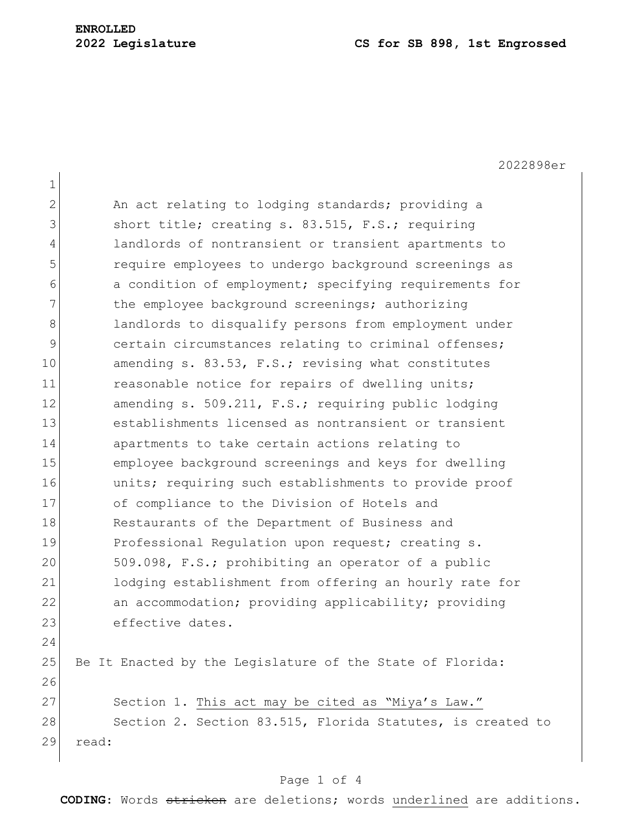2022898er 1 2 An act relating to lodging standards; providing a 3 short title; creating s. 83.515, F.S.; requiring 4 landlords of nontransient or transient apartments to 5 require employees to undergo background screenings as 6 a condition of employment; specifying requirements for 7 The employee background screenings; authorizing 8 alandlords to disqualify persons from employment under 9 9 certain circumstances relating to criminal offenses; 10 amending s. 83.53, F.S.; revising what constitutes 11 reasonable notice for repairs of dwelling units; 12 amending s. 509.211, F.S.; requiring public lodging 13 establishments licensed as nontransient or transient 14 apartments to take certain actions relating to 15 employee background screenings and keys for dwelling 16 units; requiring such establishments to provide proof 17 of compliance to the Division of Hotels and 18 Restaurants of the Department of Business and 19 Professional Requlation upon request; creating s. 20 509.098, F.S.; prohibiting an operator of a public 21 lodging establishment from offering an hourly rate for 22 an accommodation; providing applicability; providing 23 effective dates. 24 25 Be It Enacted by the Legislature of the State of Florida: 26 27 Section 1. This act may be cited as "Miya's Law." 28 Section 2. Section 83.515, Florida Statutes, is created to 29 read:

#### Page 1 of 4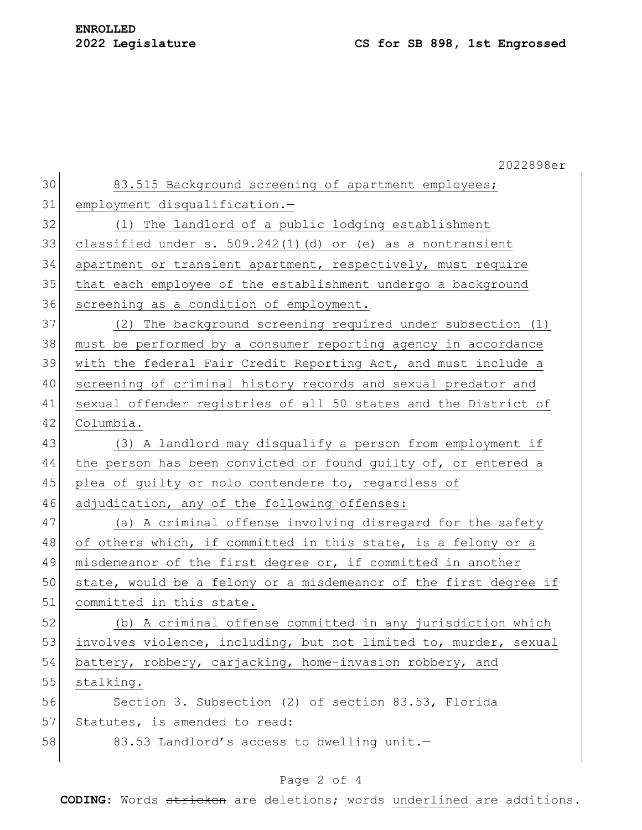|    | 2022898er                                                        |
|----|------------------------------------------------------------------|
| 30 | 83.515 Background screening of apartment employees;              |
| 31 | employment disqualification.-                                    |
| 32 | (1) The landlord of a public lodging establishment               |
| 33 | classified under s. $509.242(1)$ (d) or (e) as a nontransient    |
| 34 | apartment or transient apartment, respectively, must require     |
| 35 | that each employee of the establishment undergo a background     |
| 36 | screening as a condition of employment.                          |
| 37 | (2) The background screening required under subsection (1)       |
| 38 | must be performed by a consumer reporting agency in accordance   |
| 39 | with the federal Fair Credit Reporting Act, and must include a   |
| 40 | screening of criminal history records and sexual predator and    |
| 41 | sexual offender registries of all 50 states and the District of  |
| 42 | Columbia.                                                        |
| 43 | (3) A landlord may disqualify a person from employment if        |
| 44 | the person has been convicted or found guilty of, or entered a   |
| 45 | plea of guilty or nolo contendere to, regardless of              |
| 46 | adjudication, any of the following offenses:                     |
| 47 | (a) A criminal offense involving disregard for the safety        |
| 48 | of others which, if committed in this state, is a felony or a    |
| 49 | misdemeanor of the first degree or, if committed in another      |
| 50 | state, would be a felony or a misdemeanor of the first degree if |
| 51 | committed in this state.                                         |
| 52 | (b) A criminal offense committed in any jurisdiction which       |
| 53 | involves violence, including, but not limited to, murder, sexual |
| 54 | battery, robbery, carjacking, home-invasion robbery, and         |
| 55 | stalking.                                                        |
| 56 | Section 3. Subsection (2) of section 83.53, Florida              |
| 57 | Statutes, is amended to read:                                    |
| 58 | 83.53 Landlord's access to dwelling unit.-                       |
|    |                                                                  |

# Page 2 of 4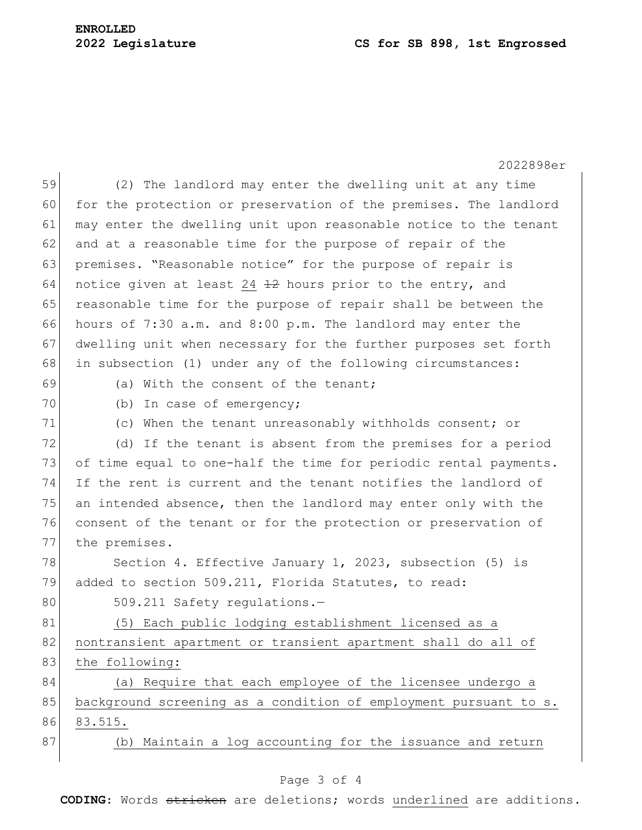# **ENROLLED**

### **2022 Legislature CS for SB 898, 1st Engrossed**

|    | 2022898er                                                        |
|----|------------------------------------------------------------------|
| 59 | (2) The landlord may enter the dwelling unit at any time         |
| 60 | for the protection or preservation of the premises. The landlord |
| 61 | may enter the dwelling unit upon reasonable notice to the tenant |
| 62 | and at a reasonable time for the purpose of repair of the        |
| 63 | premises. "Reasonable notice" for the purpose of repair is       |
| 64 | notice given at least 24 12 hours prior to the entry, and        |
| 65 | reasonable time for the purpose of repair shall be between the   |
| 66 | hours of 7:30 a.m. and 8:00 p.m. The landlord may enter the      |
| 67 | dwelling unit when necessary for the further purposes set forth  |
| 68 | in subsection (1) under any of the following circumstances:      |
| 69 | (a) With the consent of the tenant;                              |
| 70 | (b)<br>In case of emergency;                                     |
| 71 | (c) When the tenant unreasonably withholds consent; or           |
| 72 | (d) If the tenant is absent from the premises for a period       |
| 73 | of time equal to one-half the time for periodic rental payments. |
| 74 | If the rent is current and the tenant notifies the landlord of   |
| 75 | an intended absence, then the landlord may enter only with the   |
| 76 | consent of the tenant or for the protection or preservation of   |
| 77 | the premises.                                                    |
| 78 | Section 4. Effective January 1, 2023, subsection (5) is          |
| 79 | added to section 509.211, Florida Statutes, to read:             |
| 80 | 509.211 Safety regulations.-                                     |
| 81 | (5) Each public lodging establishment licensed as a              |
| 82 | nontransient apartment or transient apartment shall do all of    |
| 83 | the following:                                                   |
| 84 | (a) Require that each employee of the licensee undergo a         |
| 85 | background screening as a condition of employment pursuant to s. |
| 86 | 83.515.                                                          |
| 87 | Maintain a log accounting for the issuance and return<br>(b)     |
|    |                                                                  |

# Page 3 of 4